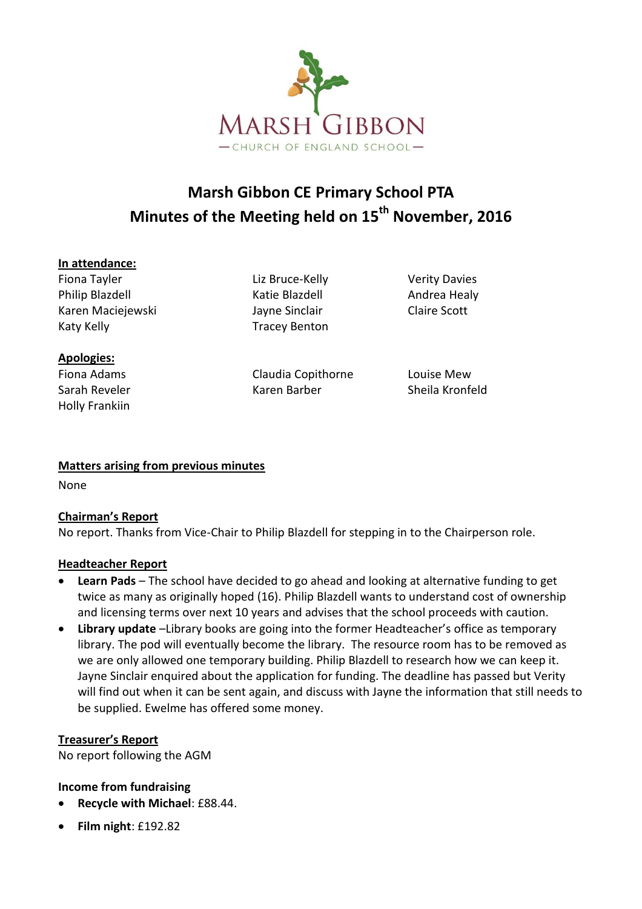

# **Marsh Gibbon CE Primary School PTA Minutes of the Meeting held on 15 th November, 2016**

#### **In attendance:**

Fiona Tayler **Liz Bruce-Kelly** Verity Davies Philip Blazdell **Andrea Healy** Katie Blazdell **Andrea Healy** Karen Maciejewski Jayne Sinclair Claire Scott Katy Kelly **Tracey Benton** 

**Apologies:** Holly Frankiin

Fiona Adams Claudia Copithorne Louise Mew Sarah Reveler **Karen Barber** Sheila Kronfeld

## **Matters arising from previous minutes**

None

## **Chairman's Report**

No report. Thanks from Vice-Chair to Philip Blazdell for stepping in to the Chairperson role.

### **Headteacher Report**

- **Learn Pads** The school have decided to go ahead and looking at alternative funding to get twice as many as originally hoped (16). Philip Blazdell wants to understand cost of ownership and licensing terms over next 10 years and advises that the school proceeds with caution.
- **Library update** –Library books are going into the former Headteacher's office as temporary library. The pod will eventually become the library. The resource room has to be removed as we are only allowed one temporary building. Philip Blazdell to research how we can keep it. Jayne Sinclair enquired about the application for funding. The deadline has passed but Verity will find out when it can be sent again, and discuss with Jayne the information that still needs to be supplied. Ewelme has offered some money.

### **Treasurer's Report**

No report following the AGM

## **Income from fundraising**

- **Recycle with Michael**: £88.44.
- **Film night**: £192.82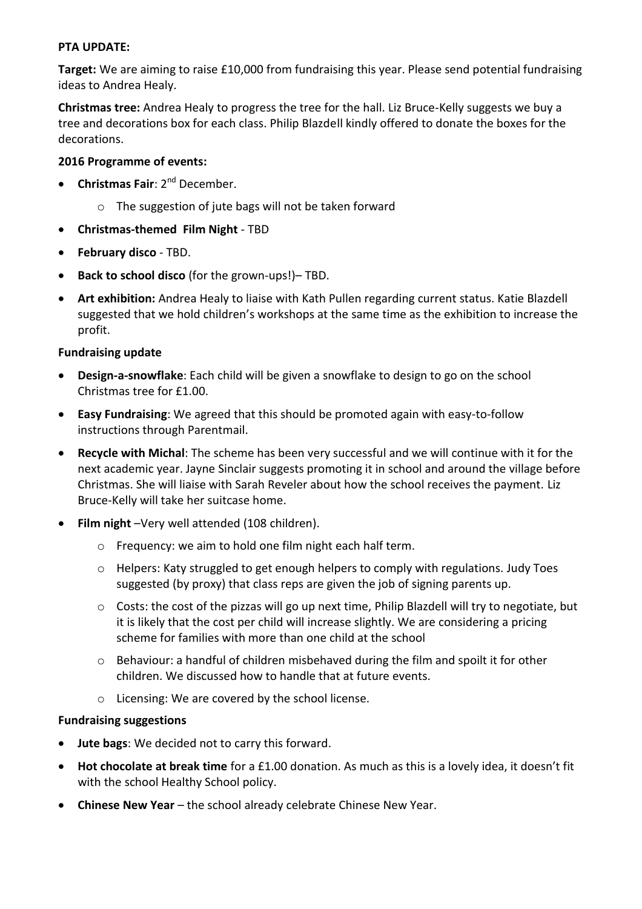#### **PTA UPDATE:**

**Target:** We are aiming to raise £10,000 from fundraising this year. Please send potential fundraising ideas to Andrea Healy.

**Christmas tree:** Andrea Healy to progress the tree for the hall. Liz Bruce-Kelly suggests we buy a tree and decorations box for each class. Philip Blazdell kindly offered to donate the boxes for the decorations.

#### **2016 Programme of events:**

- **Christmas Fair**: 2<sup>nd</sup> December.
	- o The suggestion of jute bags will not be taken forward
- **Christmas-themed Film Night** TBD
- **February disco** TBD.
- **Back to school disco** (for the grown-ups!)– TBD.
- **Art exhibition:** Andrea Healy to liaise with Kath Pullen regarding current status. Katie Blazdell suggested that we hold children's workshops at the same time as the exhibition to increase the profit.

#### **Fundraising update**

- **Design-a-snowflake**: Each child will be given a snowflake to design to go on the school Christmas tree for £1.00.
- **Easy Fundraising**: We agreed that this should be promoted again with easy-to-follow instructions through Parentmail.
- **Recycle with Michal**: The scheme has been very successful and we will continue with it for the next academic year. Jayne Sinclair suggests promoting it in school and around the village before Christmas. She will liaise with Sarah Reveler about how the school receives the payment. Liz Bruce-Kelly will take her suitcase home.
- **Film night** –Very well attended (108 children).
	- o Frequency: we aim to hold one film night each half term.
	- o Helpers: Katy struggled to get enough helpers to comply with regulations. Judy Toes suggested (by proxy) that class reps are given the job of signing parents up.
	- $\circ$  Costs: the cost of the pizzas will go up next time, Philip Blazdell will try to negotiate, but it is likely that the cost per child will increase slightly. We are considering a pricing scheme for families with more than one child at the school
	- $\circ$  Behaviour: a handful of children misbehaved during the film and spoilt it for other children. We discussed how to handle that at future events.
	- o Licensing: We are covered by the school license.

#### **Fundraising suggestions**

- **Jute bags**: We decided not to carry this forward.
- **Hot chocolate at break time** for a £1.00 donation. As much as this is a lovely idea, it doesn't fit with the school Healthy School policy.
- **Chinese New Year** the school already celebrate Chinese New Year.